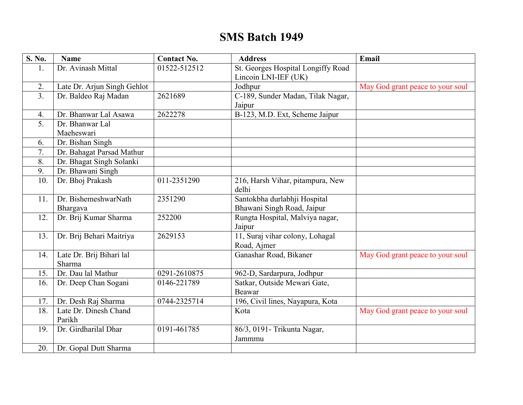## **SMS Batch 1949**

| $\overline{S}$ . No. | <b>Name</b>                 | <b>Contact No.</b>         | <b>Address</b>                     | Email                            |
|----------------------|-----------------------------|----------------------------|------------------------------------|----------------------------------|
| 1.                   | Dr. Avinash Mittal          | $\overline{01}$ 522-512512 | St. Georges Hospital Longiffy Road |                                  |
|                      |                             |                            | Lincoin LNI-IEF (UK)               |                                  |
| 2.                   | Late Dr. Arjun Singh Gehlot |                            | Jodhpur                            | May God grant peace to your soul |
| 3 <sub>1</sub>       | Dr. Baldeo Raj Madan        | 2621689                    | C-189, Sunder Madan, Tilak Nagar,  |                                  |
|                      |                             |                            | Jaipur                             |                                  |
| 4.                   | Dr. Bhanwar Lal Asawa       | 2622278                    | B-123, M.D. Ext, Scheme Jaipur     |                                  |
| 5 <sub>1</sub>       | Dr. Bhanwar Lal             |                            |                                    |                                  |
|                      | Maeheswari                  |                            |                                    |                                  |
| 6.                   | Dr. Bishan Singh            |                            |                                    |                                  |
| 7.                   | Dr. Bahagat Parsad Mathur   |                            |                                    |                                  |
| 8.                   | Dr. Bhagat Singh Solanki    |                            |                                    |                                  |
| 9.                   | Dr. Bhawani Singh           |                            |                                    |                                  |
| 10.                  | Dr. Bhoj Prakash            | 011-2351290                | 216, Harsh Vihar, pitampura, New   |                                  |
|                      |                             |                            | delhi                              |                                  |
| 11.                  | Dr. BishemeshwarNath        | 2351290                    | Santokbha durlabhji Hospital       |                                  |
|                      | Bhargava                    |                            | Bhawani Singh Road, Jaipur         |                                  |
| 12.                  | Dr. Brij Kumar Sharma       | 252200                     | Rungta Hospital, Malviya nagar,    |                                  |
|                      |                             |                            | Jaipur                             |                                  |
| 13.                  | Dr. Brij Behari Maitriya    | 2629153                    | 11, Suraj vihar colony, Lohagal    |                                  |
|                      |                             |                            | Road, Ajmer                        |                                  |
| 14.                  | Late Dr. Brij Bihari lal    |                            | Ganashar Road, Bikaner             | May God grant peace to your soul |
|                      | Sharma                      |                            |                                    |                                  |
| 15.                  | Dr. Dau lal Mathur          | 0291-2610875               | 962-D, Sardarpura, Jodhpur         |                                  |
| 16.                  | Dr. Deep Chan Sogani        | 0146-221789                | Satkar, Outside Mewari Gate,       |                                  |
|                      |                             |                            | Beawar                             |                                  |
| 17.                  | Dr. Desh Raj Sharma         | 0744-2325714               | 196, Civil lines, Nayapura, Kota   |                                  |
| 18.                  | Late Dr. Dinesh Chand       |                            | Kota                               | May God grant peace to your soul |
|                      | Parikh                      |                            |                                    |                                  |
| 19.                  | Dr. Girdharilal Dhar        | 0191-461785                | 86/3, 0191- Trikunta Nagar,        |                                  |
|                      |                             |                            | Jammmu                             |                                  |
| 20.                  | Dr. Gopal Dutt Sharma       |                            |                                    |                                  |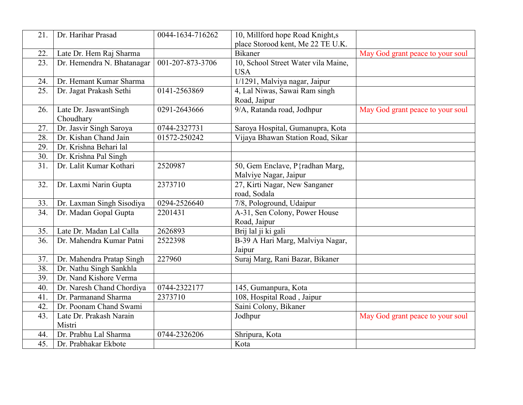| 21. | Dr. Harihar Prasad         | 0044-1634-716262 | 10, Millford hope Road Knight,s     |                                  |
|-----|----------------------------|------------------|-------------------------------------|----------------------------------|
|     |                            |                  | place Storood kent, Me 22 TE U.K.   |                                  |
| 22. | Late Dr. Hem Raj Sharma    |                  | <b>Bikaner</b>                      | May God grant peace to your soul |
| 23. | Dr. Hemendra N. Bhatanagar | 001-207-873-3706 | 10, School Street Water vila Maine, |                                  |
|     |                            |                  | <b>USA</b>                          |                                  |
| 24. | Dr. Hemant Kumar Sharma    |                  | 1/1291, Malviya nagar, Jaipur       |                                  |
| 25. | Dr. Jagat Prakash Sethi    | 0141-2563869     | 4, Lal Niwas, Sawai Ram singh       |                                  |
|     |                            |                  | Road, Jaipur                        |                                  |
| 26. | Late Dr. JaswantSingh      | 0291-2643666     | 9/A, Ratanda road, Jodhpur          | May God grant peace to your soul |
|     | Choudhary                  |                  |                                     |                                  |
| 27. | Dr. Jasvir Singh Saroya    | 0744-2327731     | Saroya Hospital, Gumanupra, Kota    |                                  |
| 28. | Dr. Kishan Chand Jain      | 01572-250242     | Vijaya Bhawan Station Road, Sikar   |                                  |
| 29. | Dr. Krishna Behari lal     |                  |                                     |                                  |
| 30. | Dr. Krishna Pal Singh      |                  |                                     |                                  |
| 31. | Dr. Lalit Kumar Kothari    | 2520987          | 50, Gem Enclave, P{radhan Marg,     |                                  |
|     |                            |                  | Malviye Nagar, Jaipur               |                                  |
| 32. | Dr. Laxmi Narin Gupta      | 2373710          | 27, Kirti Nagar, New Sanganer       |                                  |
|     |                            |                  | road, Sodala                        |                                  |
| 33. | Dr. Laxman Singh Sisodiya  | 0294-2526640     | 7/8, Pologround, Udaipur            |                                  |
| 34. | Dr. Madan Gopal Gupta      | 2201431          | A-31, Sen Colony, Power House       |                                  |
|     |                            |                  | Road, Jaipur                        |                                  |
| 35. | Late Dr. Madan Lal Calla   | 2626893          | Brij lal ji ki gali                 |                                  |
| 36. | Dr. Mahendra Kumar Patni   | 2522398          | B-39 A Hari Marg, Malviya Nagar,    |                                  |
|     |                            |                  | Jaipur                              |                                  |
| 37. | Dr. Mahendra Pratap Singh  | 227960           | Suraj Marg, Rani Bazar, Bikaner     |                                  |
| 38. | Dr. Nathu Singh Sankhla    |                  |                                     |                                  |
| 39. | Dr. Nand Kishore Verma     |                  |                                     |                                  |
| 40. | Dr. Naresh Chand Chordiya  | 0744-2322177     | 145, Gumanpura, Kota                |                                  |
| 41. | Dr. Parmanand Sharma       | 2373710          | 108, Hospital Road, Jaipur          |                                  |
| 42. | Dr. Poonam Chand Swami     |                  | Saini Colony, Bikaner               |                                  |
| 43. | Late Dr. Prakash Narain    |                  | Jodhpur                             | May God grant peace to your soul |
|     | Mistri                     |                  |                                     |                                  |
| 44. | Dr. Prabhu Lal Sharma      | 0744-2326206     | Shripura, Kota                      |                                  |
| 45. | Dr. Prabhakar Ekbote       |                  | Kota                                |                                  |